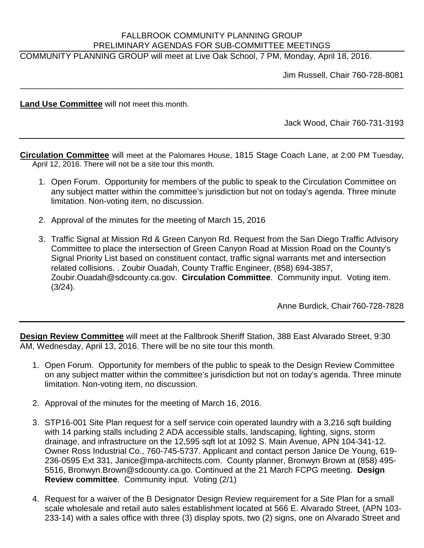## FALLBROOK COMMUNITY PLANNING GROUP PRELIMINARY AGENDAS FOR SUB-COMMITTEE MEETINGS

\_\_\_\_\_\_\_\_\_\_\_\_\_\_\_\_\_\_\_\_\_\_\_\_\_\_\_\_\_\_\_\_\_\_\_\_\_\_\_\_\_\_\_\_\_\_\_\_\_\_\_\_\_\_\_\_\_\_\_\_\_\_\_\_\_\_\_\_\_\_\_\_\_\_\_\_\_\_\_\_\_\_\_

COMMUNITY PLANNING GROUP will meet at Live Oak School, 7 PM, Monday, April 18, 2016.

Jim Russell, Chair 760-728-8081

**Land Use Committee** will not meet this month.

Jack Wood, Chair 760-731-3193

**Circulation Committee** will meet at the Palomares House, 1815 Stage Coach Lane, at 2:00 PM Tuesday, April 12, 2016. There will not be a site tour this month.

- 1. Open Forum. Opportunity for members of the public to speak to the Circulation Committee on any subject matter within the committee's jurisdiction but not on today's agenda. Three minute limitation. Non-voting item, no discussion.
- 2. Approval of the minutes for the meeting of March 15, 2016
- 3. Traffic Signal at Mission Rd & Green Canyon Rd. Request from the San Diego Traffic Advisory Committee to place the intersection of Green Canyon Road at Mission Road on the County's Signal Priority List based on constituent contact, traffic signal warrants met and intersection related collisions. . Zoubir Ouadah, County Traffic Engineer, (858) 694-3857, Zoubir.Ouadah@sdcounty.ca.gov. **Circulation Committee**. Community input. Voting item. (3/24).

Anne Burdick, Chair760-728-7828

**Design Review Committee** will meet at the Fallbrook Sheriff Station, 388 East Alvarado Street, 9:30 AM, Wednesday, April 13, 2016. There will be no site tour this month.

- 1. Open Forum. Opportunity for members of the public to speak to the Design Review Committee on any subject matter within the committee's jurisdiction but not on today's agenda. Three minute limitation. Non-voting item, no discussion.
- 2. Approval of the minutes for the meeting of March 16, 2016.
- 3. STP16-001 Site Plan request for a self service coin operated laundry with a 3,216 sqft building with 14 parking stalls including 2 ADA accessible stalls, landscaping, lighting, signs, storm drainage, and infrastructure on the 12,595 sqft lot at 1092 S. Main Avenue, APN 104-341-12. Owner Ross Industrial Co., 760-745-5737. Applicant and contact person Janice De Young, 619- 236-0595 Ext 331, Janice@mpa-architects.com. County planner, Bronwyn Brown at (858) 495- 5516, Bronwyn.Brown@sdcounty.ca.go. Continued at the 21 March FCPG meeting. **Design Review committee**. Community input. Voting (2/1)
- 4. Request for a waiver of the B Designator Design Review requirement for a Site Plan for a small scale wholesale and retail auto sales establishment located at 566 E. Alvarado Street, (APN 103- 233-14) with a sales office with three (3) display spots, two (2) signs, one on Alvarado Street and